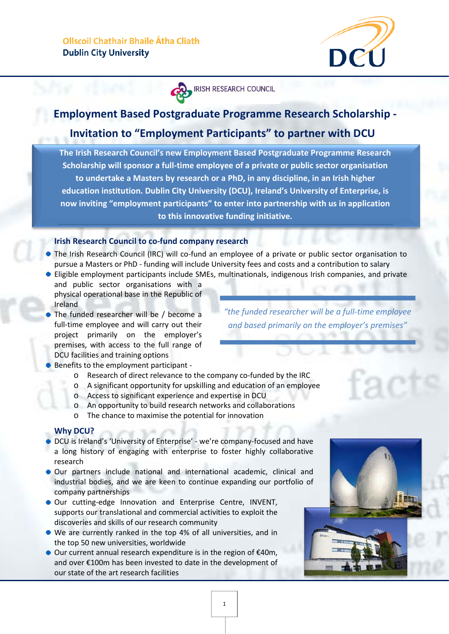

**IRISH RESEARCH COUNCIL** 

# **Employment Based Postgraduate Programme Research Scholarship -**

## **Invitation to "Employment Participants" to partner with DCU**

**The Irish Research Council's new Employment Based Postgraduate Programme Research Scholarship will sponsor a full-time employee of a private or public sector organisation to undertake a Masters by research or a PhD, in any discipline, in an Irish higher education institution. Dublin City University (DCU), Ireland's University of Enterprise, is now inviting "employment participants" to enter into partnership with us in application to this innovative funding initiative.**

## **Irish Research Council to co-fund company research**

- The Irish Research Council (IRC) will co-fund an employee of a private or public sector organisation to pursue a Masters or PhD - funding will include University fees and costs and a contribution to salary
- Eligible employment participants include SMEs, multinationals, indigenous Irish companies, and private and public sector organisations with a physical operational base in the Republic of Ireland
- The funded researcher will be / become a full-time employee and will carry out their project primarily on the employer's premises, with access to the full range of DCU facilities and training options
- Benefits to the employment participant
	- o Research of direct relevance to the company co-funded by the IRC
	- o A significant opportunity for upskilling and education of an employee
	- o Access to significant experience and expertise in DCU
	- o An opportunity to build research networks and collaborations
	- o The chance to maximise the potential for innovation

## **Why DCU?**

- DCU is Ireland's 'University of Enterprise' we're company-focused and have a long history of engaging with enterprise to foster highly collaborative research
- Our partners include national and international academic, clinical and industrial bodies, and we are keen to continue expanding our portfolio of company partnerships
- Our cutting-edge Innovation and Enterprise Centre, INVENT, supports our translational and commercial activities to exploit the discoveries and skills of our research community
- We are currently ranked in the top 4% of all universities, and in the top 50 new universities, worldwide
- Our current annual research expenditure is in the region of €40m, and over €100m has been invested to date in the development of our state of the art research facilities

*"the funded researcher will be a full-time employee and based primarily on the employer's premises"*